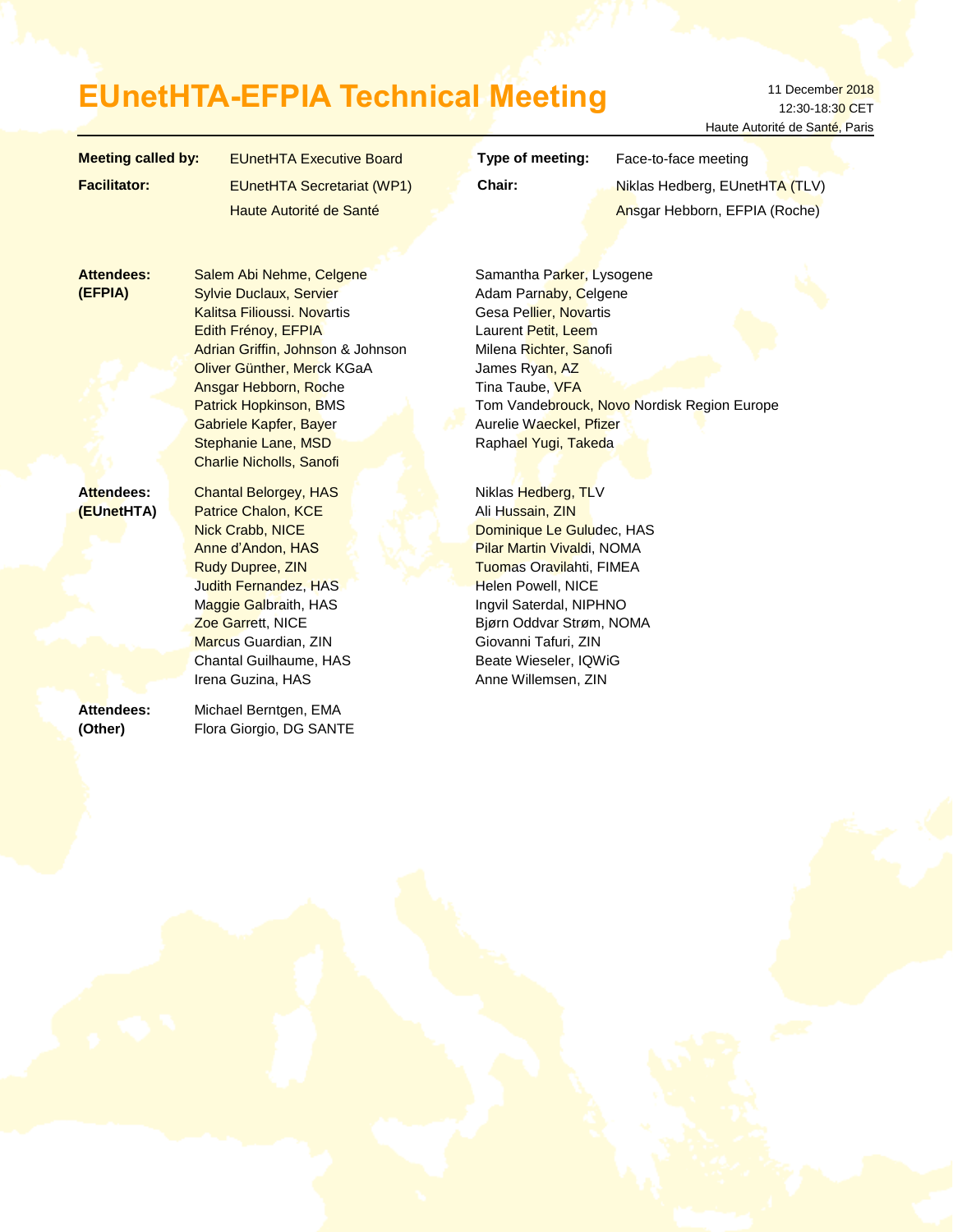# EUnetHTA-EFPIA Technical Meeting 11 December 2018

12:30-18:30 CET Haute Autorité de Santé, Paris

| <b>Meeting called by:</b>    | <b>EUnetHTA Executive Board</b>                                                                                                                                                                                                                                                                                                                 | Type of meeting:<br>Face-to-face meeting                                                                                                                                                                                                                                                   |
|------------------------------|-------------------------------------------------------------------------------------------------------------------------------------------------------------------------------------------------------------------------------------------------------------------------------------------------------------------------------------------------|--------------------------------------------------------------------------------------------------------------------------------------------------------------------------------------------------------------------------------------------------------------------------------------------|
| <b>Facilitator:</b>          | <b>EUnetHTA Secretariat (WP1)</b>                                                                                                                                                                                                                                                                                                               | Chair:<br>Niklas Hedberg, EUnetHTA (TLV)                                                                                                                                                                                                                                                   |
|                              | Haute Autorité de Santé                                                                                                                                                                                                                                                                                                                         | Ansgar Hebborn, EFPIA (Roche)                                                                                                                                                                                                                                                              |
|                              |                                                                                                                                                                                                                                                                                                                                                 |                                                                                                                                                                                                                                                                                            |
| <b>Attendees:</b><br>(EFPIA) | Salem Abi Nehme, Celgene<br><b>Sylvie Duclaux, Servier</b><br><b>Kalitsa Filioussi. Novartis</b><br>Edith Frénoy, EFPIA<br>Adrian Griffin, Johnson & Johnson<br>Oliver Günther, Merck KGaA<br>Ansgar Hebborn, Roche<br><b>Patrick Hopkinson, BMS</b><br><b>Gabriele Kapfer, Bayer</b><br>Stephanie Lane, MSD<br><b>Charlie Nicholls, Sanofi</b> | Samantha Parker, Lysogene<br>Adam Parnaby, Celgene<br>Gesa Pellier, Novartis<br>Laurent Petit, Leem<br>Milena Richter, Sanofi<br>James Ryan, AZ<br>Tina Taube, VFA<br>Tom Vandebrouck, Novo Nordisk Region Europe<br>Aurelie Waeckel, Pfizer<br>Raphael Yugi, Takeda                       |
| Attendees:<br>(EUnetHTA)     | <b>Chantal Belorgey, HAS</b><br>Patrice Chalon, KCE<br><b>Nick Crabb, NICE</b><br>Anne d'Andon, HAS<br>Rudy Dupree, ZIN<br>Judith Fernandez, HAS<br>Maggie Galbraith, HAS<br>Zoe Garrett, NICE<br>Marcus Guardian, ZIN<br>Chantal Guilhaume, HAS<br>Irena Guzina, HAS                                                                           | Niklas Hedberg, TLV<br>Ali Hussain, ZIN<br>Dominique Le Guludec, HAS<br><b>Pilar Martin Vivaldi, NOMA</b><br>Tuomas Oravilahti, FIMEA<br>Helen Powell, NICE<br>Ingvil Saterdal, NIPHNO<br>Bjørn Oddvar Strøm, NOMA<br>Giovanni Tafuri, ZIN<br>Beate Wieseler, IQWiG<br>Anne Willemsen, ZIN |
| Attendees:<br>(Other)        | Michael Berntgen, EMA<br>Flora Giorgio, DG SANTE                                                                                                                                                                                                                                                                                                |                                                                                                                                                                                                                                                                                            |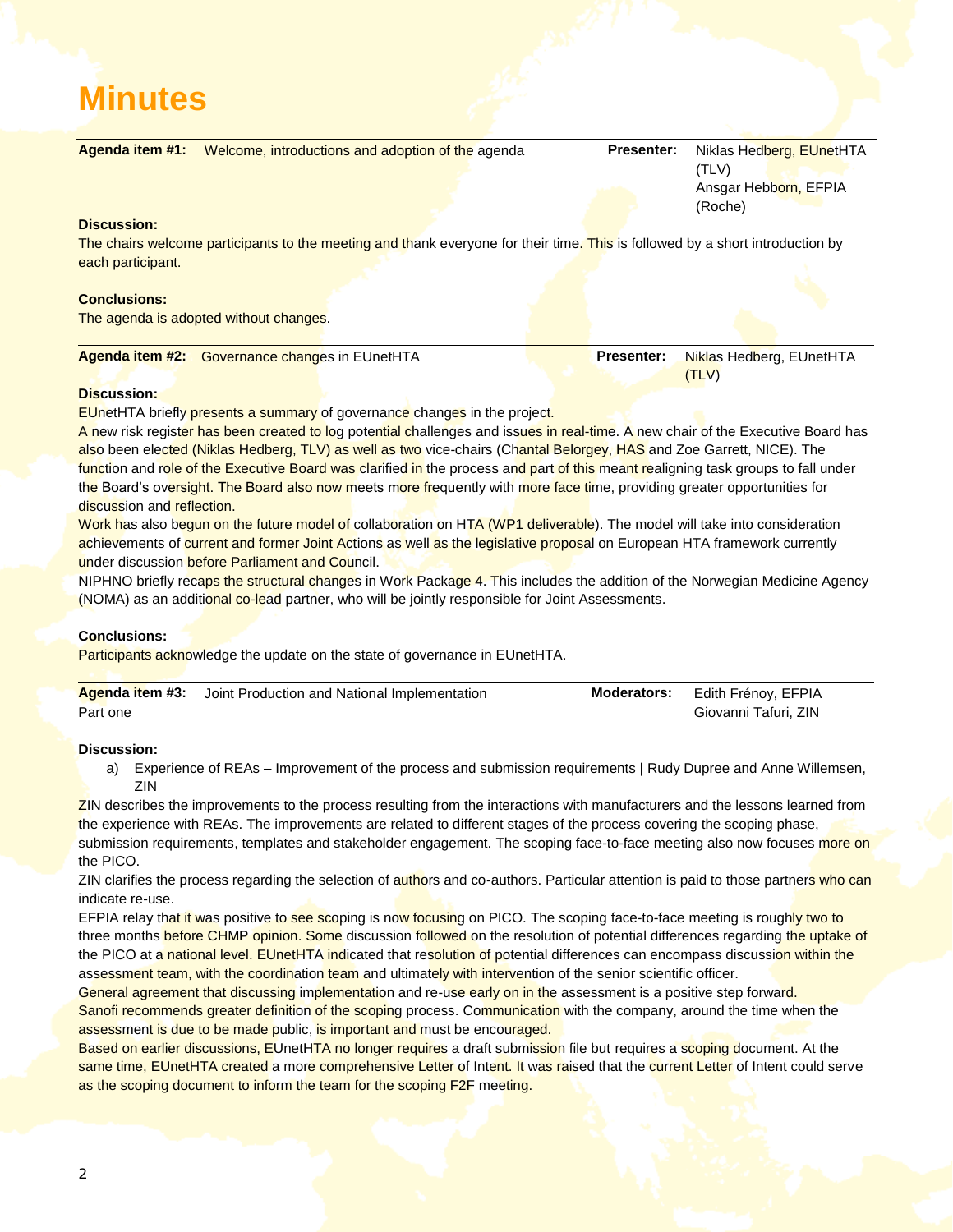# **Minutes**

| Agenda item #1:     |                                                       | Welcome, introductions and adoption of the agenda                                                                             | <b>Presenter:</b> | Niklas Hedberg, EUnetHTA<br>(TLV)        |
|---------------------|-------------------------------------------------------|-------------------------------------------------------------------------------------------------------------------------------|-------------------|------------------------------------------|
|                     |                                                       |                                                                                                                               |                   | Ansgar Hebborn, EFPIA<br>(Roche)         |
| <b>Discussion:</b>  |                                                       |                                                                                                                               |                   |                                          |
| each participant.   |                                                       | The chairs welcome participants to the meeting and thank everyone for their time. This is followed by a short introduction by |                   |                                          |
| <b>Conclusions:</b> |                                                       |                                                                                                                               |                   |                                          |
|                     | The agenda is adopted without changes.                |                                                                                                                               |                   |                                          |
|                     |                                                       |                                                                                                                               |                   |                                          |
|                     | <b>Agenda item #2:</b> Governance changes in EUnetHTA |                                                                                                                               | <b>Presenter:</b> | <b>Niklas Hedberg, EUnetHTA</b><br>(TLV) |

#### **Discussion:**

**EUnetHTA briefly presents a summary of governance changes in the project.** 

A new risk register has been created to log potential challenges and issues in real-time. A new chair of the Executive Board has also been elected (Niklas Hedberg, TLV) as well as two vice-chairs (Chantal Belorgey, HAS and Zoe Garrett, NICE). The function and role of the Executive Board was clarified in the process and part of this meant realigning task groups to fall under the Board's oversight. The Board also now meets more frequently with more face time, providing greater opportunities for discussion and reflection.

Work has also begun on the future model of collaboration on HTA (WP1 deliverable). The model will take into consideration achievements of current and former Joint Actions as well as the legislative proposal on European HTA framework currently under discussion before Parliament and Council.

NIPHNO briefly recaps the structural changes in Work Package 4. This includes the addition of the Norwegian Medicine Agency (NOMA) as an additional co-lead partner, who will be jointly responsible for Joint Assessments.

# **Conclusions:**

Participants acknowledge the update on the state of governance in EUnetHTA.

|          | <b>Agenda item #3:</b> Joint Production and National Implementation | <b>Moderators:</b> | Edith Frénoy, EFPIA  |
|----------|---------------------------------------------------------------------|--------------------|----------------------|
| Part one |                                                                     |                    | Giovanni Tafuri, ZIN |

#### **Discussion:**

a) Experience of REAs – Improvement of the process and submission requirements | Rudy Dupree and Anne Willemsen, ZIN

ZIN describes the improvements to the process resulting from the interactions with manufacturers and the lessons learned from the experience with REAs. The improvements are related to different stages of the process covering the scoping phase, submission requirements, templates and stakeholder engagement. The scoping face-to-face meeting also now focuses more on the PICO.

ZIN clarifies the process regarding the selection of authors and co-authors. Particular attention is paid to those partners who can indicate re-use.

EFPIA relay that it was positive to see scoping is now focusing on PICO. The scoping face-to-face meeting is roughly two to three months before CHMP opinion. Some discussion followed on the resolution of potential differences regarding the uptake of the PICO at a national level. EUnetHTA indicated that resolution of potential differences can encompass discussion within the assessment team, with the coordination team and ultimately with intervention of the senior scientific officer.

General agreement that discussing implementation and re-use early on in the assessment is a positive step forward. Sanofi recommends greater definition of the scoping process. Communication with the company, around the time when the assessment is due to be made public, is important and must be encouraged.

Based on earlier discussions, EUnetHTA no longer requires a draft submission file but requires a scoping document. At the same time, EUnetHTA created a more comprehensive Letter of Intent. It was raised that the current Letter of Intent could serve as the scoping document to inform the team for the scoping F2F meeting.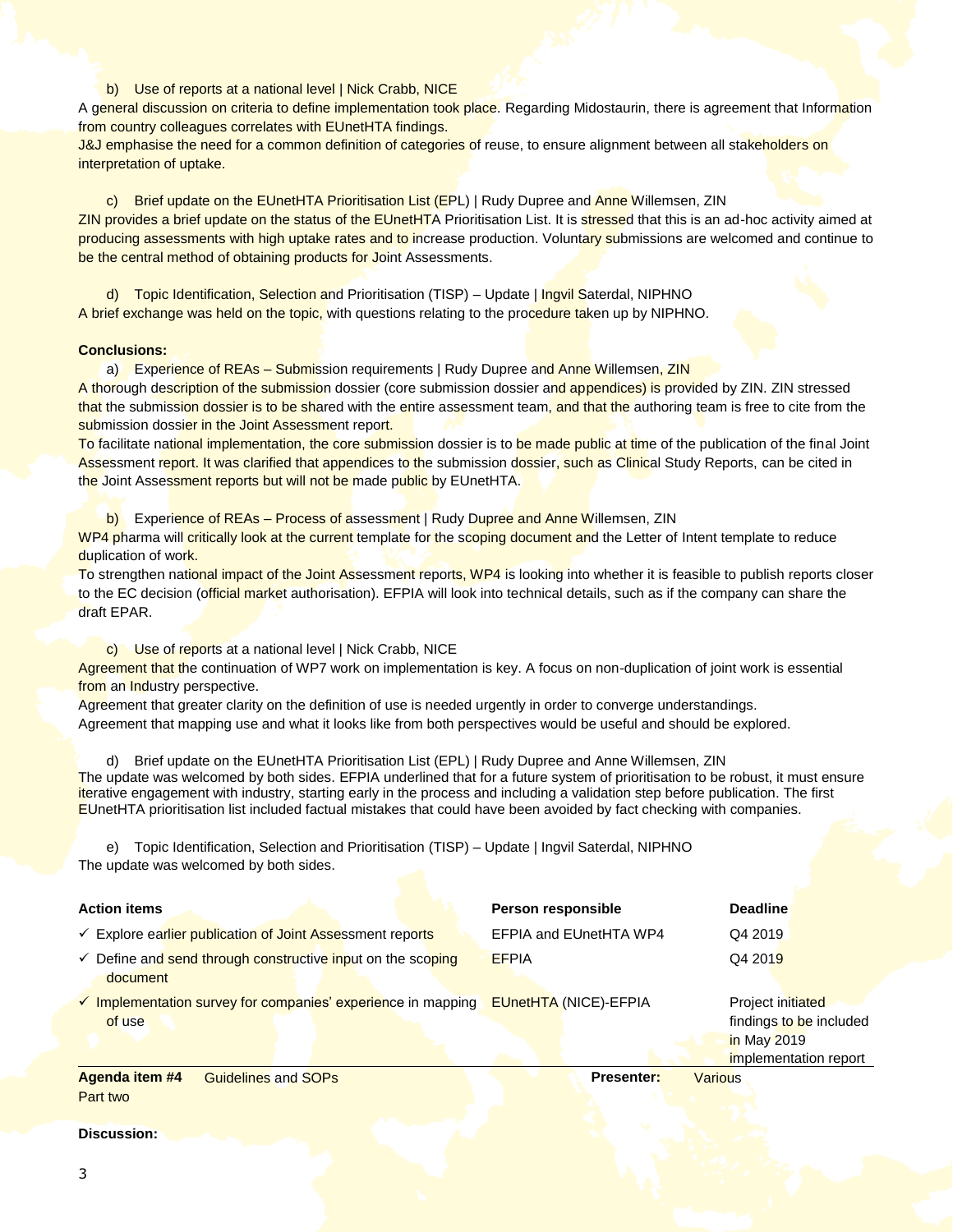#### b) Use of reports at a national level | Nick Crabb, NICE

A general discussion on criteria to define implementation took place. Regarding Midostaurin, there is agreement that Information from country colleagues correlates with EUnetHTA findings.

J&J emphasise the need for a common definition of categories of reuse, to ensure alignment between all stakeholders on interpretation of uptake.

c) Brief update on the EUnetHTA Prioritisation List (EPL) | Rudy Dupree and Anne Willemsen, ZIN ZIN provides a brief update on the status of the EUnetHTA Prioritisation List. It is stressed that this is an ad-hoc activity aimed at producing assessments with high uptake rates and to increase production. Voluntary submissions are welcomed and continue to be the central method of obtaining products for Joint Assessments.

d) Topic Identification, Selection and Prioritisation (TISP) – Update | Ingvil Saterdal, NIPHNO A brief exchange was held on the topic, with questions relating to the procedure taken up by NIPHNO.

#### **Conclusions:**

a) Experience of REAs - Submission requirements | Rudy Dupree and Anne Willemsen, ZIN A thorough description of the submission dossier (core submission dossier and appendices) is provided by ZIN. ZIN stressed that the submission dossier is to be shared with the entire assessment team, and that the authoring team is free to cite from the submission dossier in the Joint Assessment report.

To facilitate national implementation, the core submission dossier is to be made public at time of the publication of the final Joint Assessment report. It was clarified that appendices to the submission dossier, such as Clinical Study Reports, can be cited in the Joint Assessment reports but will not be made public by EUnetHTA.

b) Experience of REAs – Process of assessment | Rudy Dupree and Anne Willemsen, ZIN WP4 pharma will critically look at the current template for the scoping document and the Letter of Intent template to reduce duplication of work.

To strengthen national impact of the Joint Assessment reports, WP4 is looking into whether it is feasible to publish reports closer to the EC decision (official market authorisation). EFPIA will look into technical details, such as if the company can share the draft EPAR.

c) Use of reports at a national level | Nick Crabb, NICE

Agreement that the continuation of WP7 work on implementation is key. A focus on non-duplication of joint work is essential from an Industry perspective.

Agreement that greater clarity on the definition of use is needed urgently in order to converge understandings. Agreement that mapping use and what it looks like from both perspectives would be useful and should be explored.

d) Brief update on the EUnetHTA Prioritisation List (EPL) | Rudy Dupree and Anne Willemsen, ZIN The update was welcomed by both sides. EFPIA underlined that for a future system of prioritisation to be robust, it must ensure iterative engagement with industry, starting early in the process and including a validation step before publication. The first EUnetHTA prioritisation list included factual mistakes that could have been avoided by fact checking with companies.

e) Topic Identification, Selection and Prioritisation (TISP) – Update | Ingvil Saterdal, NIPHNO The update was welcomed by both sides.

| <b>Action items</b>                                                                | Person responsible           | <b>Deadline</b>                                                                      |
|------------------------------------------------------------------------------------|------------------------------|--------------------------------------------------------------------------------------|
| ← Explore earlier publication of Joint Assessment reports                          | EFPIA and EUnetHTA WP4       | Q4 2019                                                                              |
| $\checkmark$ Define and send through constructive input on the scoping<br>document | <b>EFPIA</b>                 | Q4 2019                                                                              |
| $\checkmark$ Implementation survey for companies' experience in mapping<br>of use  | <b>EUnetHTA (NICE)-EFPIA</b> | Project initiated<br>findings to be included<br>in May 2019<br>implementation report |
| Agenda item #4<br><b>Guidelines and SOPs</b>                                       | <b>Presenter:</b>            | Various.                                                                             |

Agenda i Part two

**Discussion:**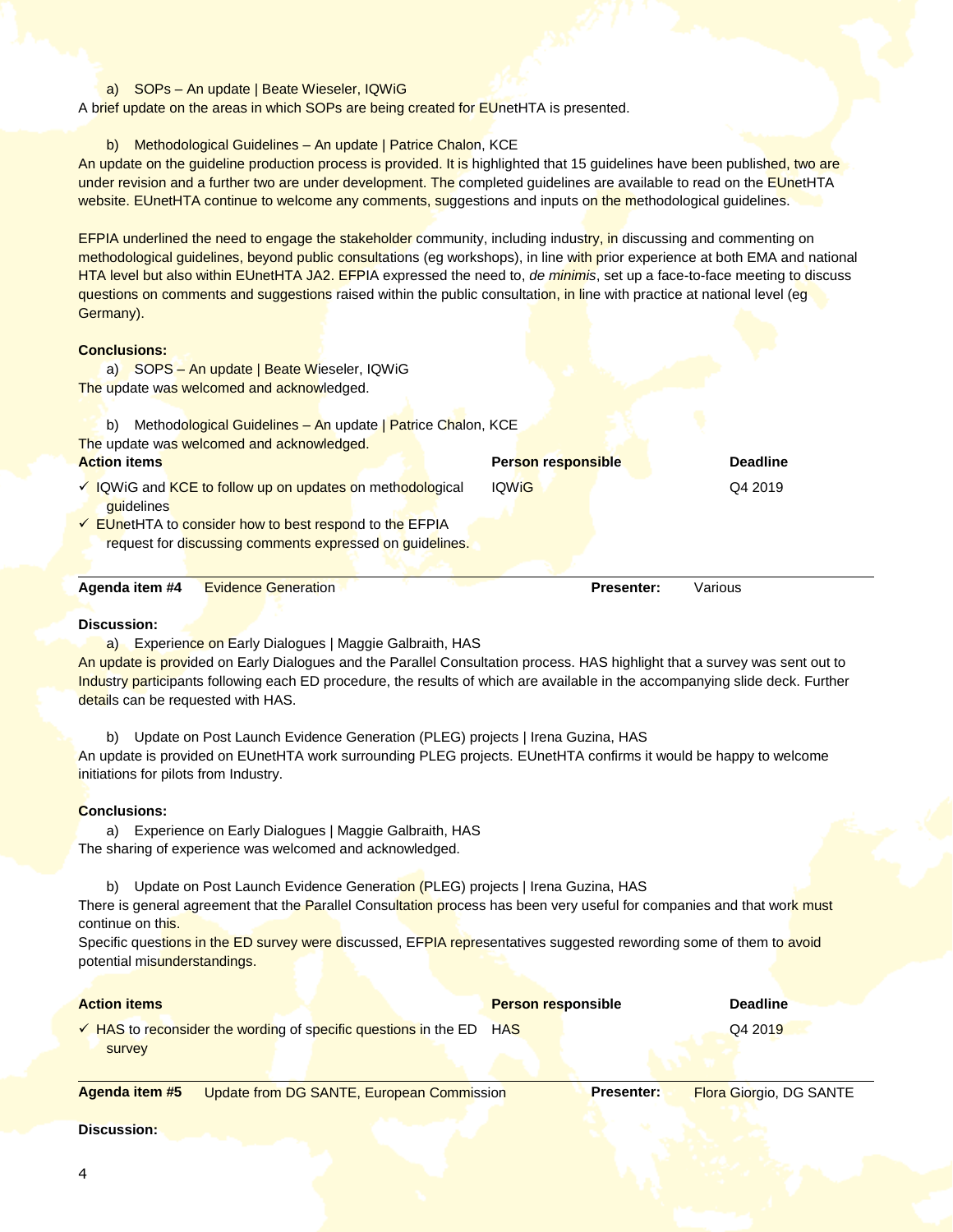#### a) SOPs – An update | Beate Wieseler, IQWiG

A brief update on the areas in which SOPs are being created for EUnetHTA is presented.

#### b) Methodological Guidelines - An update | Patrice Chalon, KCE

An update on the guideline production process is provided. It is highlighted that 15 guidelines have been published, two are under revision and a further two are under development. The completed guidelines are available to read on the EUnetHTA website. EUnetHTA continue to welcome any comments, suggestions and inputs on the methodological guidelines.

EFPIA underlined the need to engage the stakeholder community, including industry, in discussing and commenting on methodological guidelines, beyond public consultations (eg workshops), in line with prior experience at both EMA and national HTA level but also within EUnetHTA JA2. EFPIA expressed the need to, *de minimis*, set up a face-to-face meeting to discuss questions on comments and suggestions raised within the public consultation, in line with practice at national level (eg Germany).

## **Conclusions:**

a) SOPS - An update | Beate Wieseler, IQWiG The update was welcomed and acknowledged.

| Methodological Guidelines - An update   Patrice Chalon, KCE<br>b)                                                                  |                           |                 |
|------------------------------------------------------------------------------------------------------------------------------------|---------------------------|-----------------|
| The update was welcomed and acknowledged.                                                                                          |                           |                 |
| <b>Action items</b>                                                                                                                | <b>Person responsible</b> | <b>Deadline</b> |
| √ IQWiG and KCE to follow up on updates on methodological<br>quidelines<br>← EUnetHTA to consider how to best respond to the EFPIA | <b>IQWIG</b>              | Q4 2019         |
| request for discussing comments expressed on quidelines.                                                                           |                           |                 |
| Agenda item #4<br><b>Evidence Generation</b>                                                                                       | <b>Presenter:</b>         | Various         |

#### **Discussion:**

a) Experience on Early Dialogues | Maggie Galbraith, HAS

An update is provided on Early Dialogues and the Parallel Consultation process. HAS highlight that a survey was sent out to Industry participants following each ED procedure, the results of which are available in the accompanying slide deck. Further details can be requested with HAS.

b) Update on Post Launch Evidence Generation (PLEG) projects | Irena Guzina, HAS

An update is provided on EUnetHTA work surrounding PLEG projects. EUnetHTA confirms it would be happy to welcome initiations for pilots from Industry.

#### **Conclusions:**

a) Experience on Early Dialogues | Maggie Galbraith, HAS The sharing of experience was welcomed and acknowledged.

b) Update on Post Launch Evidence Generation (PLEG) projects | Irena Guzina, HAS

There is general agreement that the Parallel Consultation process has been very useful for companies and that work must continue on this.

Specific questions in the ED survey were discussed, EFPIA representatives suggested rewording some of them to avoid potential misunderstandings.

| <b>Action items</b>                                                            | <b>Person responsible</b> | <b>Deadline</b> |
|--------------------------------------------------------------------------------|---------------------------|-----------------|
| $\checkmark$ HAS to reconsider the wording of specific questions in the ED HAS |                           | Q4 2019         |
| survey                                                                         |                           |                 |

**Agenda item #5** Update from DG SANTE, European Commission **Presenter:** Flora Giorgio, DG SANTE

#### **Discussion:**